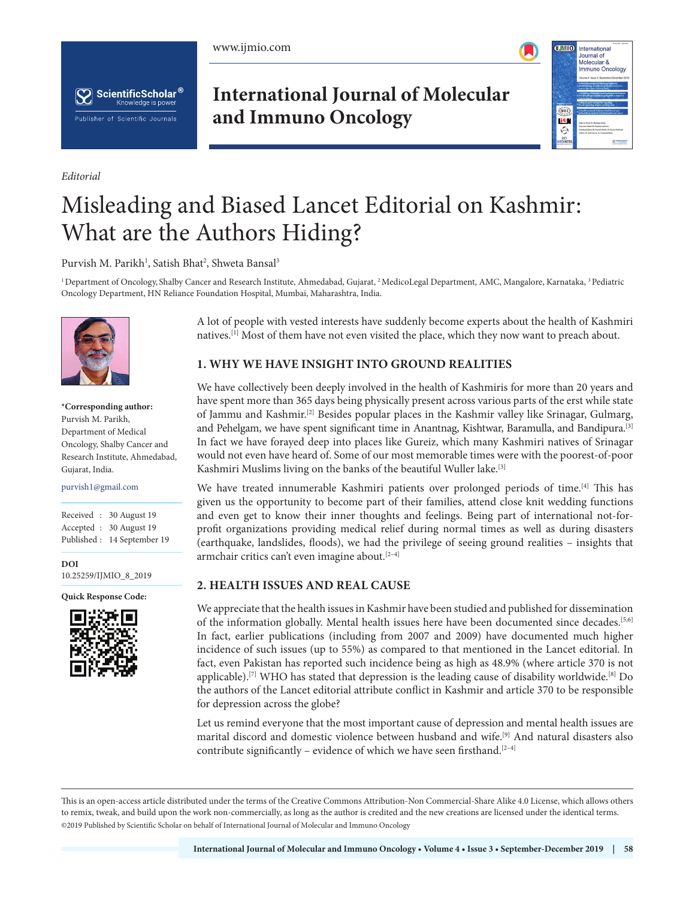





*Editorial*

# **International Journal of Molecular and Immuno Oncology**



# Misleading and Biased Lancet Editorial on Kashmir: What are the Authors Hiding?

Purvish M. Parikh<sup>1</sup>, Satish Bhat<sup>2</sup>, Shweta Bansal<sup>3</sup>

<sup>1</sup> Department of Oncology, Shalby Cancer and Research Institute, Ahmedabad, Gujarat, <sup>2</sup> MedicoLegal Department, AMC, Mangalore, Karnataka, <sup>3</sup> Pediatric Oncology Department, HN Reliance Foundation Hospital, Mumbai, Maharashtra, India.



**\*Corresponding author:** Purvish M. Parikh, Department of Medical Oncology, Shalby Cancer and Research Institute, Ahmedabad, Gujarat, India.

## purvish1@gmail.com **\*Corresponding author:**

Received : 30 August 19 Accepted : 30 August 19 Published : 14 September 19 Received :

**DOI** \*\*\* 10.25259/IJMIO\_8\_2019 **DOI**

**Quick Response Code: Quick Response Code:**



A lot of people with vested interests have suddenly become experts about the health of Kashmiri natives.[1] Most of them have not even visited the place, which they now want to preach about.

### **1. WHY WE HAVE INSIGHT INTO GROUND REALITIES**

We have collectively been deeply involved in the health of Kashmiris for more than 20 years and have spent more than 365 days being physically present across various parts of the erst while state of Jammu and Kashmir.[2] Besides popular places in the Kashmir valley like Srinagar, Gulmarg, and Pehelgam, we have spent significant time in Anantnag, Kishtwar, Baramulla, and Bandipura.[3] In fact we have forayed deep into places like Gureiz, which many Kashmiri natives of Srinagar would not even have heard of. Some of our most memorable times were with the poorest-of-poor Kashmiri Muslims living on the banks of the beautiful Wuller lake.[3]

We have treated innumerable Kashmiri patients over prolonged periods of time.<sup>[4]</sup> This has given us the opportunity to become part of their families, attend close knit wedding functions and even get to know their inner thoughts and feelings. Being part of international not-forprofit organizations providing medical relief during normal times as well as during disasters (earthquake, landslides, floods), we had the privilege of seeing ground realities – insights that armchair critics can't even imagine about.<sup>[2-4]</sup>

#### **2. HEALTH ISSUES AND REAL CAUSE**

We appreciate that the health issues in Kashmir have been studied and published for dissemination of the information globally. Mental health issues here have been documented since decades.[5,6] In fact, earlier publications (including from 2007 and 2009) have documented much higher incidence of such issues (up to 55%) as compared to that mentioned in the Lancet editorial. In fact, even Pakistan has reported such incidence being as high as 48.9% (where article 370 is not applicable).<sup>[7]</sup> WHO has stated that depression is the leading cause of disability worldwide.<sup>[8]</sup> Do the authors of the Lancet editorial attribute conflict in Kashmir and article 370 to be responsible for depression across the globe?

Let us remind everyone that the most important cause of depression and mental health issues are marital discord and domestic violence between husband and wife.[9] And natural disasters also contribute significantly – evidence of which we have seen firsthand.<sup>[2-4]</sup>

This is an open-access article distributed under the terms of the Creative Commons Attribution-Non Commercial-Share Alike 4.0 License, which allows others to remix, tweak, and build upon the work non-commercially, as long as the author is credited and the new creations are licensed under the identical terms. @2019 Published by Scientific Scholar on behalf of International Journal of Molecular and Immuno Oncology  $\mathcal{L}$  Published by Scientific Scholar on behalf on behalf of  $\mathcal{L}$  and  $\mathcal{L}$  immuno Oncology Oncology Oncology Oncology Oncology Oncology Oncology Oncology Oncology Oncology Oncology Oncology Oncology Oncology On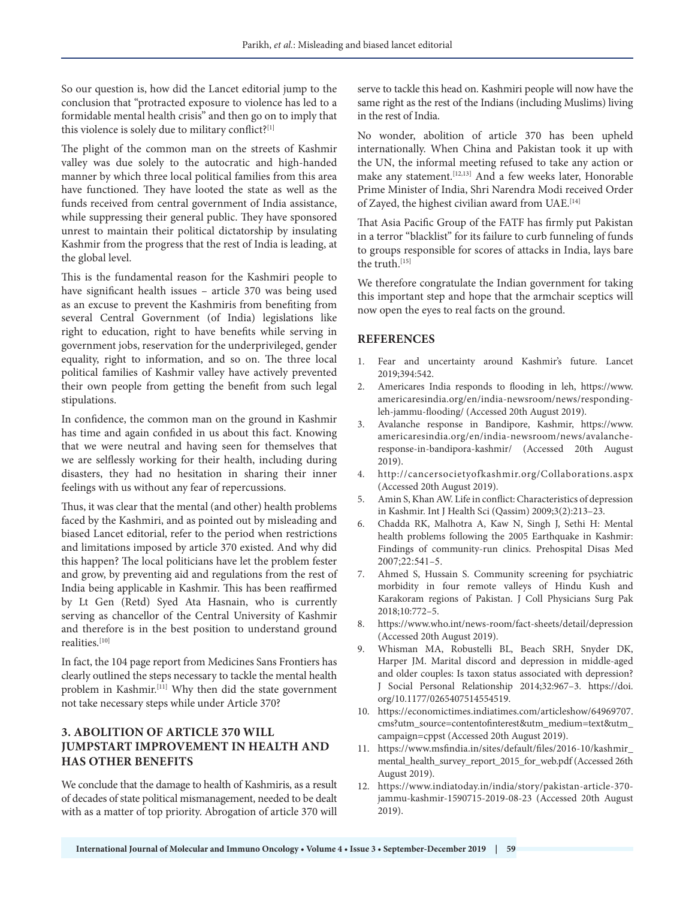So our question is, how did the Lancet editorial jump to the conclusion that "protracted exposure to violence has led to a formidable mental health crisis" and then go on to imply that this violence is solely due to military conflict?[1]

The plight of the common man on the streets of Kashmir valley was due solely to the autocratic and high-handed manner by which three local political families from this area have functioned. They have looted the state as well as the funds received from central government of India assistance, while suppressing their general public. They have sponsored unrest to maintain their political dictatorship by insulating Kashmir from the progress that the rest of India is leading, at the global level.

This is the fundamental reason for the Kashmiri people to have significant health issues – article 370 was being used as an excuse to prevent the Kashmiris from benefiting from several Central Government (of India) legislations like right to education, right to have benefits while serving in government jobs, reservation for the underprivileged, gender equality, right to information, and so on. The three local political families of Kashmir valley have actively prevented their own people from getting the benefit from such legal stipulations.

In confidence, the common man on the ground in Kashmir has time and again confided in us about this fact. Knowing that we were neutral and having seen for themselves that we are selflessly working for their health, including during disasters, they had no hesitation in sharing their inner feelings with us without any fear of repercussions.

Thus, it was clear that the mental (and other) health problems faced by the Kashmiri, and as pointed out by misleading and biased Lancet editorial, refer to the period when restrictions and limitations imposed by article 370 existed. And why did this happen? The local politicians have let the problem fester and grow, by preventing aid and regulations from the rest of India being applicable in Kashmir. This has been reaffirmed by Lt Gen (Retd) Syed Ata Hasnain, who is currently serving as chancellor of the Central University of Kashmir and therefore is in the best position to understand ground realities.[10]

In fact, the 104 page report from Medicines Sans Frontiers has clearly outlined the steps necessary to tackle the mental health problem in Kashmir.[11] Why then did the state government not take necessary steps while under Article 370?

#### **3. ABOLITION OF ARTICLE 370 WILL JUMPSTART IMPROVEMENT IN HEALTH AND HAS OTHER BENEFITS**

We conclude that the damage to health of Kashmiris, as a result of decades of state political mismanagement, needed to be dealt with as a matter of top priority. Abrogation of article 370 will serve to tackle this head on. Kashmiri people will now have the same right as the rest of the Indians (including Muslims) living in the rest of India.

No wonder, abolition of article 370 has been upheld internationally. When China and Pakistan took it up with the UN, the informal meeting refused to take any action or make any statement.[12,13] And a few weeks later, Honorable Prime Minister of India, Shri Narendra Modi received Order of Zayed, the highest civilian award from UAE.<sup>[14]</sup>

That Asia Pacific Group of the FATF has firmly put Pakistan in a terror "blacklist" for its failure to curb funneling of funds to groups responsible for scores of attacks in India, lays bare the truth.<sup>[15]</sup>

We therefore congratulate the Indian government for taking this important step and hope that the armchair sceptics will now open the eyes to real facts on the ground.

#### **REFERENCES**

- 1. Fear and uncertainty around Kashmir's future. Lancet 2019;394:542.
- 2. Americares India responds to flooding in leh, https://www. americaresindia.org/en/india-newsroom/news/respondingleh-jammu-flooding/ (Accessed 20th August 2019).
- 3. Avalanche response in Bandipore, Kashmir, https://www. americaresindia.org/en/india-newsroom/news/avalancheresponse-in-bandipora-kashmir/ (Accessed 20th August 2019).
- 4. http://cancersocietyofkashmir.org/Collaborations.aspx (Accessed 20th August 2019).
- 5. Amin S, Khan AW. Life in conflict: Characteristics of depression in Kashmir. Int J Health Sci (Qassim) 2009;3(2):213–23.
- 6. Chadda RK, Malhotra A, Kaw N, Singh J, Sethi H: Mental health problems following the 2005 Earthquake in Kashmir: Findings of community-run clinics. Prehospital Disas Med 2007;22:541–5.
- 7. Ahmed S, Hussain S. Community screening for psychiatric morbidity in four remote valleys of Hindu Kush and Karakoram regions of Pakistan. J Coll Physicians Surg Pak 2018;10:772–5.
- 8. https://www.who.int/news-room/fact-sheets/detail/depression (Accessed 20th August 2019).
- 9. Whisman MA, Robustelli BL, Beach SRH, Snyder DK, Harper JM. Marital discord and depression in middle-aged and older couples: Is taxon status associated with depression? J Social Personal Relationship 2014;32:967–3. https://doi. org/10.1177/0265407514554519.
- 10. https://economictimes.indiatimes.com/articleshow/64969707. cms?utm\_source=contentofinterest&utm\_medium=text&utm\_ campaign=cppst (Accessed 20th August 2019).
- 11. https://www.msfindia.in/sites/default/files/2016-10/kashmir\_ mental\_health\_survey\_report\_2015\_for\_web.pdf (Accessed 26th August 2019).
- 12. https://www.indiatoday.in/india/story/pakistan-article-370 jammu-kashmir-1590715-2019-08-23 (Accessed 20th August 2019).